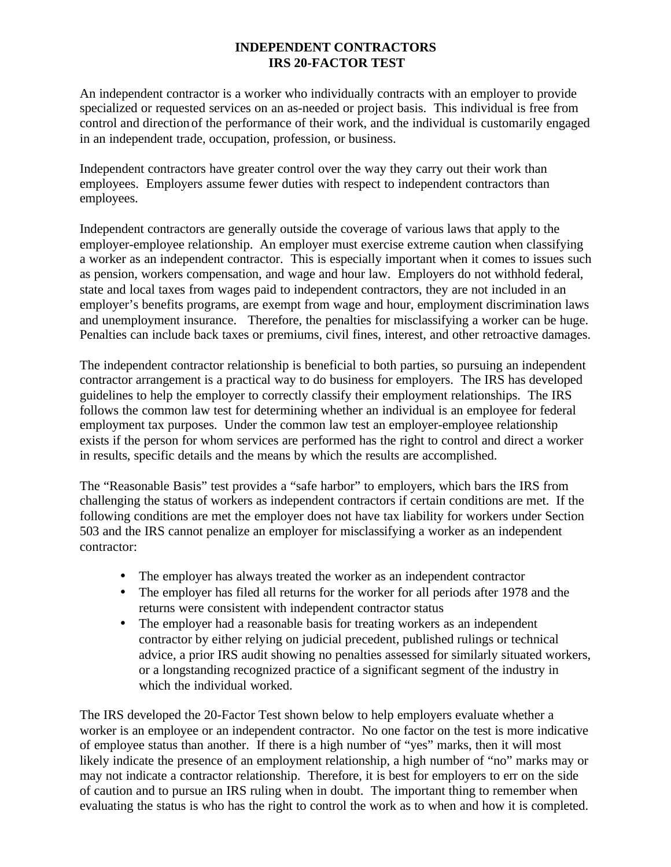## **INDEPENDENT CONTRACTORS IRS 20-FACTOR TEST**

An independent contractor is a worker who individually contracts with an employer to provide specialized or requested services on an as-needed or project basis. This individual is free from control and direction of the performance of their work, and the individual is customarily engaged in an independent trade, occupation, profession, or business.

Independent contractors have greater control over the way they carry out their work than employees. Employers assume fewer duties with respect to independent contractors than employees.

Independent contractors are generally outside the coverage of various laws that apply to the employer-employee relationship. An employer must exercise extreme caution when classifying a worker as an independent contractor. This is especially important when it comes to issues such as pension, workers compensation, and wage and hour law. Employers do not withhold federal, state and local taxes from wages paid to independent contractors, they are not included in an employer's benefits programs, are exempt from wage and hour, employment discrimination laws and unemployment insurance. Therefore, the penalties for misclassifying a worker can be huge. Penalties can include back taxes or premiums, civil fines, interest, and other retroactive damages.

The independent contractor relationship is beneficial to both parties, so pursuing an independent contractor arrangement is a practical way to do business for employers. The IRS has developed guidelines to help the employer to correctly classify their employment relationships. The IRS follows the common law test for determining whether an individual is an employee for federal employment tax purposes. Under the common law test an employer-employee relationship exists if the person for whom services are performed has the right to control and direct a worker in results, specific details and the means by which the results are accomplished.

The "Reasonable Basis" test provides a "safe harbor" to employers, which bars the IRS from challenging the status of workers as independent contractors if certain conditions are met. If the following conditions are met the employer does not have tax liability for workers under Section 503 and the IRS cannot penalize an employer for misclassifying a worker as an independent contractor:

- The employer has always treated the worker as an independent contractor
- The employer has filed all returns for the worker for all periods after 1978 and the returns were consistent with independent contractor status
- The employer had a reasonable basis for treating workers as an independent contractor by either relying on judicial precedent, published rulings or technical advice, a prior IRS audit showing no penalties assessed for similarly situated workers, or a longstanding recognized practice of a significant segment of the industry in which the individual worked.

The IRS developed the 20-Factor Test shown below to help employers evaluate whether a worker is an employee or an independent contractor. No one factor on the test is more indicative of employee status than another. If there is a high number of "yes" marks, then it will most likely indicate the presence of an employment relationship, a high number of "no" marks may or may not indicate a contractor relationship. Therefore, it is best for employers to err on the side of caution and to pursue an IRS ruling when in doubt. The important thing to remember when evaluating the status is who has the right to control the work as to when and how it is completed.